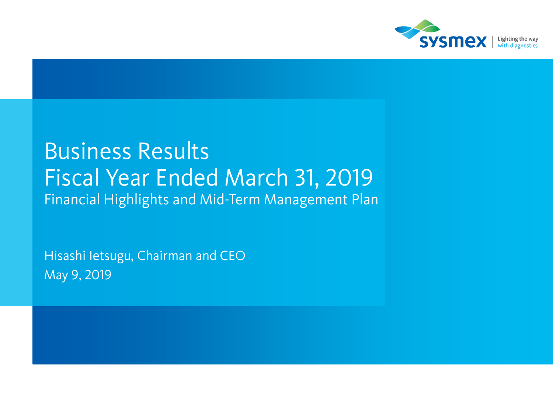

### Business Results Fiscal Year Ended March 31, 2019 Financial Highlights and Mid-Term Management Plan

Hisashi Ietsugu, Chairman and CEO May 9, 2019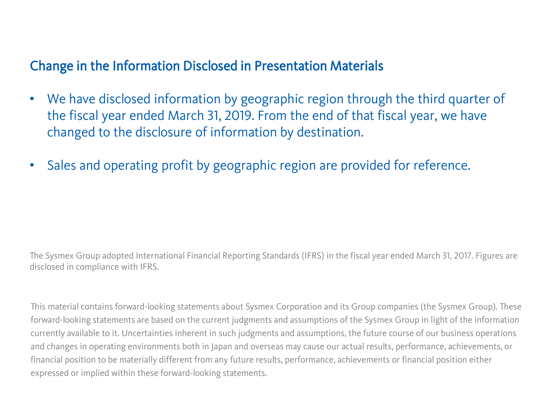#### Change in the Information Disclosed in Presentation Materials

- We have disclosed information by geographic region through the third quarter of the fiscal year ended March 31, 2019. From the end of that fiscal year, we have changed to the disclosure of information by destination.
- Sales and operating profit by geographic region are provided for reference.

The Sysmex Group adopted International Financial Reporting Standards (IFRS) in the fiscal year ended March 31, 2017. Figures are disclosed in compliance with IFRS.

This material contains forward-looking statements about Sysmex Corporation and its Group companies (the Sysmex Group). These forward-looking statements are based on the current judgments and assumptions of the Sysmex Group in light of the information currently available to it. Uncertainties inherent in such judgments and assumptions, the future course of our business operations and changes in operating environments both in Japan and overseas may cause our actual results, performance, achievements, or financial position to be materially different from any future results, performance, achievements or financial position either expressed or implied within these forward-looking statements.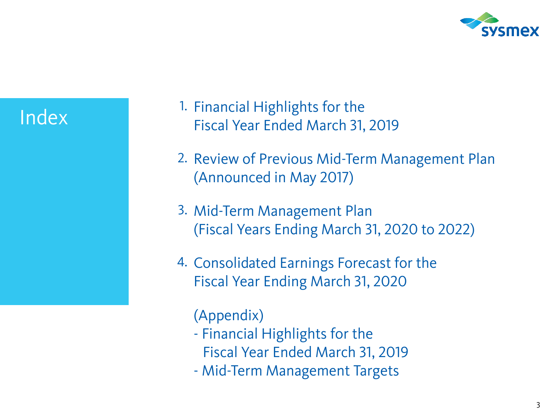

- Index 1. Financial Highlights for the<br>Fiscal Year Ended March 21 Fiscal Year Ended March 31, 2019
	- 2. Review of Previous Mid-Term Management Plan (Announced in May 2017)
	- 3. Mid-Term Management Plan (Fiscal Years Ending March 31, 2020 to 2022)
	- 4. Consolidated Earnings Forecast for the Fiscal Year Ending March 31, 2020
		- (Appendix)
		- Financial Highlights for the Fiscal Year Ended March 31, 2019
		- Mid-Term Management Targets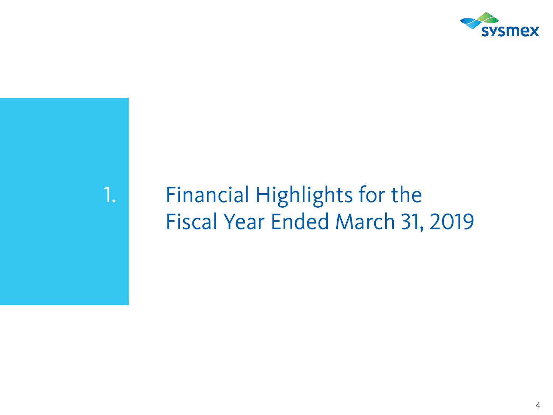

### 1. Financial Highlights for the Fiscal Year Ended March 31, 2019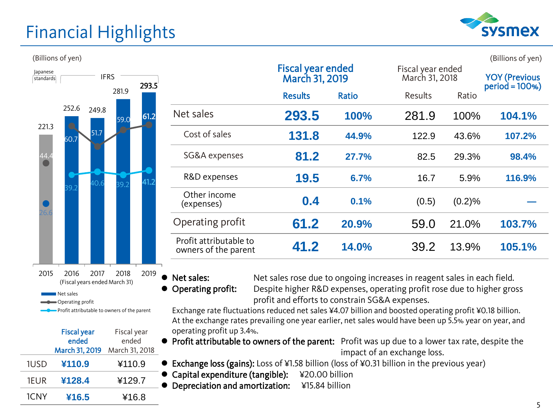### Financial Highlights





|      | <b>Fiscal year</b> | Fiscal year    |  |
|------|--------------------|----------------|--|
|      | ended              | ended          |  |
|      | March 31, 2019     | March 31, 2018 |  |
| 1USD | ¥110.9             | ¥110.9         |  |
| 1EUR | ¥128.4             | ¥129.7         |  |
| 1CNY | ¥16.5              | ¥16.8          |  |

| (Billions of yen)     |                        |      |                                                |                                            |       |                                     |        | (Billions of yen)                       |
|-----------------------|------------------------|------|------------------------------------------------|--------------------------------------------|-------|-------------------------------------|--------|-----------------------------------------|
| Japanese<br>standards | <b>IFRS</b><br>293.5   |      |                                                | <b>Fiscal year ended</b><br>March 31, 2019 |       | Fiscal year ended<br>March 31, 2018 |        | <b>YOY (Previous</b><br>$period = 100%$ |
|                       | 281.9                  |      |                                                | <b>Results</b>                             | Ratio | Results                             | Ratio  |                                         |
|                       | 252.6<br>249.8<br>59.0 | 61.2 | Net sales                                      | 293.5                                      | 100%  | 281.9                               | 100%   | 104.1%                                  |
| 221.3                 | 51.7<br>60.7           |      | Cost of sales                                  | 131.8                                      | 44.9% | 122.9                               | 43.6%  | 107.2%                                  |
|                       |                        |      | SG&A expenses                                  | 81.2                                       | 27.7% | 82.5                                | 29.3%  | 98.4%                                   |
|                       |                        |      | R&D expenses                                   | 19.5                                       | 6.7%  | 16.7                                | 5.9%   | 116.9%                                  |
|                       |                        |      | Other income<br>(expenses)                     | 0.4                                        | 0.1%  | (0.5)                               | (0.2)% |                                         |
|                       |                        |      | Operating profit                               | 61.2                                       | 20.9% | 59.0                                | 21.0%  | 103.7%                                  |
|                       |                        |      | Profit attributable to<br>owners of the parent | 41.2                                       | 14.0% | 39.2                                | 13.9%  | 105.1%                                  |

● Net sales: Net sales rose due to ongoing increases in reagent sales in each field. Operating profit: Despite higher R&D expenses, operating profit rose due to higher gross profit and efforts to constrain SG&A expenses.

Exchange rate fluctuations reduced net sales ¥4.07 billion and boosted operating profit ¥0.18 billion. At the exchange rates prevailing one year earlier, net sales would have been up 5.5% year on year, and operating profit up 3.4%.

- **Profit attributable to owners of the parent:** Profit was up due to a lower tax rate, despite the impact of an exchange loss.
- **Exchange loss (gains):** Loss of ¥1.58 billion (loss of ¥0.31 billion in the previous year)
- Capital expenditure (tangible): ¥20.00 billion
- Depreciation and amortization: ¥15.84 billion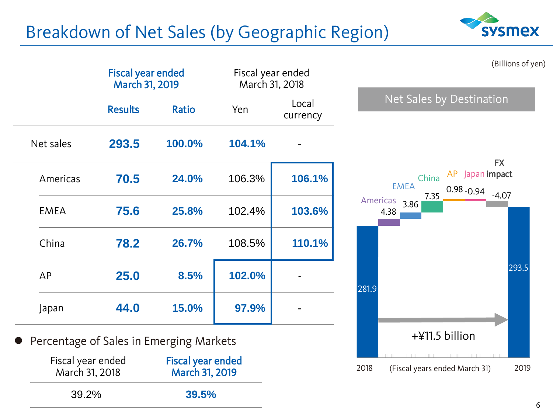### Breakdown of Net Sales (by Geographic Region)



|             | <b>Fiscal year ended</b><br>March 31, 2019 |              | Fiscal year ended<br>March 31, 2018 |                          | (Billions of yen)                                                                |
|-------------|--------------------------------------------|--------------|-------------------------------------|--------------------------|----------------------------------------------------------------------------------|
|             | <b>Results</b>                             | <b>Ratio</b> | Yen                                 | Local<br>currency        | Net Sales by Destination                                                         |
| Net sales   | 293.5                                      | 100.0%       | 104.1%                              | $\overline{\phantom{0}}$ |                                                                                  |
| Americas    | 70.5                                       | 24.0%        | 106.3%                              | 106.1%                   | <b>FX</b><br>AP Japan impact<br>China<br><b>EMEA</b><br>$0.98 - 0.94$<br>$-4.07$ |
| <b>EMEA</b> | 75.6                                       | 25.8%        | 102.4%                              | 103.6%                   | 7.35<br>Americas<br>3.86<br>4.38                                                 |
| China       | 78.2                                       | 26.7%        | 108.5%                              | 110.1%                   |                                                                                  |
| AP          | <b>25.0</b>                                | 8.5%         | 102.0%                              |                          | 293.5<br>281.9                                                                   |
| Japan       | 44.0                                       | 15.0%        | 97.9%                               |                          |                                                                                  |

Percentage of Sales in Emerging Markets

| Fiscal year ended | <b>Fiscal year ended</b> |
|-------------------|--------------------------|
| March 31, 2018    | <b>March 31, 2019</b>    |
| 39.2%             | 39.5%                    |



2018.3 2019.3 2018 (Fiscal years ended March 31) 2019

+¥11.5 billion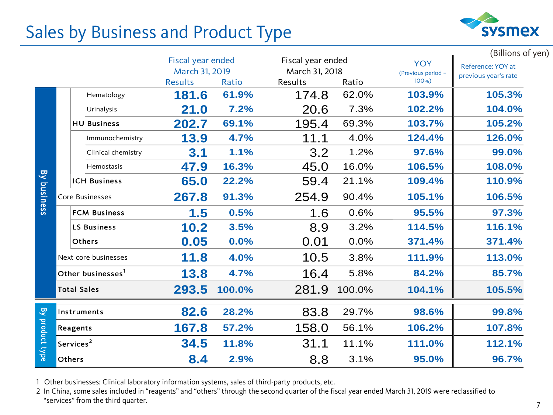### Sales by Business and Product Type



|              |                               |                                     |        |                                     |        |                            | (Billions of yen)    |
|--------------|-------------------------------|-------------------------------------|--------|-------------------------------------|--------|----------------------------|----------------------|
|              |                               | Fiscal year ended<br>March 31, 2019 |        | Fiscal year ended<br>March 31, 2018 |        | <b>YOY</b>                 | Reference: YOY at    |
|              |                               | <b>Results</b>                      | Ratio  | Results                             | Ratio  | (Previous period =<br>100% | previous year's rate |
|              | Hematology                    | 181.6                               | 61.9%  | 174.8                               | 62.0%  | 103.9%                     | 105.3%               |
|              | Urinalysis                    | 21.0                                | 7.2%   | 20.6                                | 7.3%   | 102.2%                     | 104.0%               |
|              | <b>HU Business</b>            | 202.7                               | 69.1%  | 195.4                               | 69.3%  | 103.7%                     | 105.2%               |
|              | Immunochemistry               | 13.9                                | 4.7%   | 11.1                                | 4.0%   | 124.4%                     | 126.0%               |
|              | Clinical chemistry            | 3.1                                 | 1.1%   | 3.2                                 | 1.2%   | 97.6%                      | 99.0%                |
|              | Hemostasis                    | 47.9                                | 16.3%  | 45.0                                | 16.0%  | 106.5%                     | 108.0%               |
| $\mathbb{R}$ | <b>ICH Business</b>           | 65.0                                | 22.2%  | 59.4                                | 21.1%  | 109.4%                     | 110.9%               |
| business     | <b>Core Businesses</b>        | 267.8                               | 91.3%  | 254.9                               | 90.4%  | 105.1%                     | 106.5%               |
|              | <b>FCM Business</b>           | 1.5                                 | 0.5%   | 1.6                                 | 0.6%   | 95.5%                      | 97.3%                |
|              | <b>LS Business</b>            | 10.2                                | 3.5%   | 8.9                                 | 3.2%   | 114.5%                     | 116.1%               |
|              | Others                        | 0.05                                | 0.0%   | 0.01                                | 0.0%   | 371.4%                     | 371.4%               |
|              | Next core businesses          | 11.8                                | 4.0%   | 10.5                                | 3.8%   | 111.9%                     | 113.0%               |
|              | Other businesses <sup>1</sup> | 13.8                                | 4.7%   | 16.4                                | 5.8%   | 84.2%                      | 85.7%                |
|              | <b>Total Sales</b>            | 293.5                               | 100.0% | 281.9                               | 100.0% | 104.1%                     | 105.5%               |
| ළ            | Instruments                   | 82.6                                | 28.2%  | 83.8                                | 29.7%  | 98.6%                      | 99.8%                |
|              | Reagents                      | 167.8                               | 57.2%  | 158.0                               | 56.1%  | 106.2%                     | 107.8%               |
| product type | Services <sup>2</sup>         | 34.5                                | 11.8%  | 31.1                                | 11.1%  | 111.0%                     | 112.1%               |
|              | Others                        | 8.4                                 | 2.9%   | 8.8                                 | 3.1%   | 95.0%                      | 96.7%                |

1 Other businesses: Clinical laboratory information systems, sales of third-party products, etc.

2 In China, some sales included in "reagents" and "others" through the second quarter of the fiscal year ended March 31, 2019 were reclassified to "services" from the third quarter. <sup>7</sup>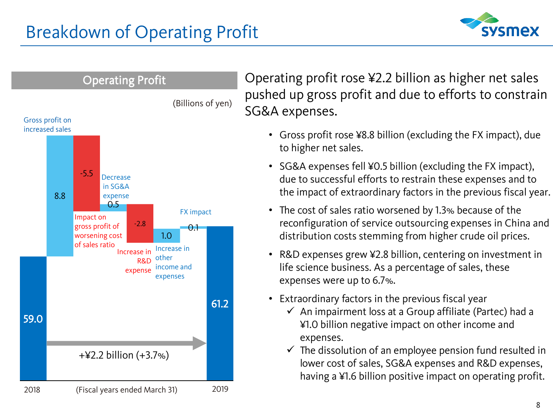### Breakdown of Operating Profit





Operating profit rose ¥2.2 billion as higher net sales pushed up gross profit and due to efforts to constrain SG&A expenses.

- Gross profit rose ¥8.8 billion (excluding the FX impact), due to higher net sales.
- SG&A expenses fell ¥0.5 billion (excluding the FX impact), due to successful efforts to restrain these expenses and to the impact of extraordinary factors in the previous fiscal year.
- The cost of sales ratio worsened by 1.3% because of the reconfiguration of service outsourcing expenses in China and distribution costs stemming from higher crude oil prices.
- R&D expenses grew ¥2.8 billion, centering on investment in life science business. As a percentage of sales, these expenses were up to 6.7%.
- Extraordinary factors in the previous fiscal year
	- $\checkmark$  An impairment loss at a Group affiliate (Partec) had a ¥1.0 billion negative impact on other income and expenses.
	- $\checkmark$  The dissolution of an employee pension fund resulted in lower cost of sales, SG&A expenses and R&D expenses, having a ¥1.6 billion positive impact on operating profit.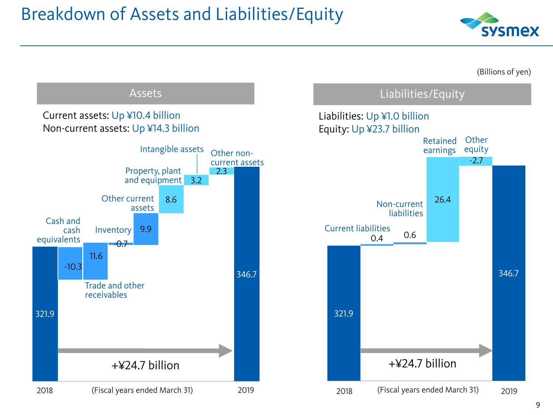### Breakdown of Assets and Liabilities/Equity



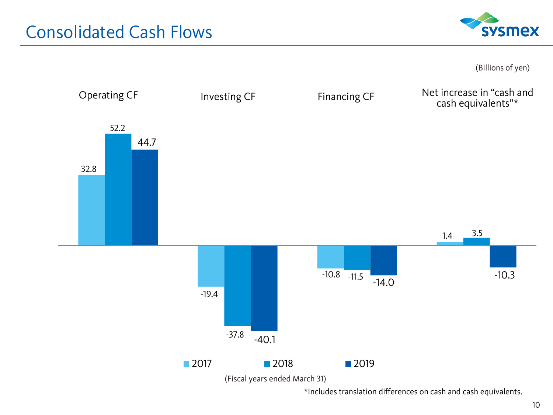



\*Includes translation differences on cash and cash equivalents.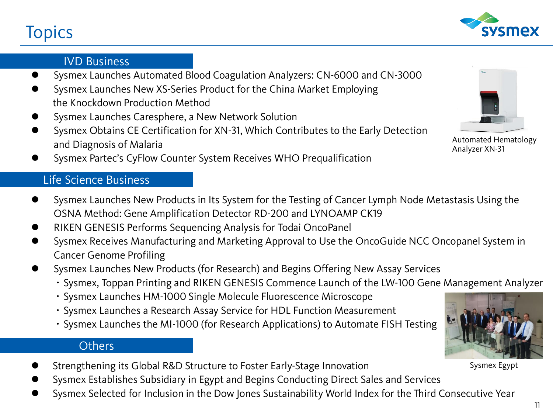### **Topics**

#### IVD Business

- Sysmex Launches Automated Blood Coagulation Analyzers: CN-6000 and CN-3000
- Sysmex Launches New XS-Series Product for the China Market Employing the Knockdown Production Method
- Sysmex Launches Caresphere, a New Network Solution
- Sysmex Obtains CE Certification for XN-31, Which Contributes to the Early Detection and Diagnosis of Malaria
- Sysmex Partec's CyFlow Counter System Receives WHO Prequalification

#### Life Science Business

- Sysmex Launches New Products in Its System for the Testing of Cancer Lymph Node Metastasis Using the OSNA Method: Gene Amplification Detector RD-200 and LYNOAMP CK19
- RIKEN GENESIS Performs Sequencing Analysis for Todai OncoPanel
- Sysmex Receives Manufacturing and Marketing Approval to Use the OncoGuide NCC Oncopanel System in Cancer Genome Profiling
- Sysmex Launches New Products (for Research) and Begins Offering New Assay Services
	- Sysmex, Toppan Printing and RIKEN GENESIS Commence Launch of the LW-100 Gene Management Analyzer
	- Sysmex Launches HM-1000 Single Molecule Fluorescence Microscope
	- Sysmex Launches a Research Assay Service for HDL Function Measurement
	- Sysmex Launches the MI-1000 (for Research Applications) to Automate FISH Testing

#### **Others**

- Strengthening its Global R&D Structure to Foster Early-Stage Innovation
- Sysmex Establishes Subsidiary in Egypt and Begins Conducting Direct Sales and Services
- Sysmex Selected for Inclusion in the Dow Jones Sustainability World Index for the Third Consecutive Year

Automated Hematology Analyzer XN-31





Sysmex Egypt

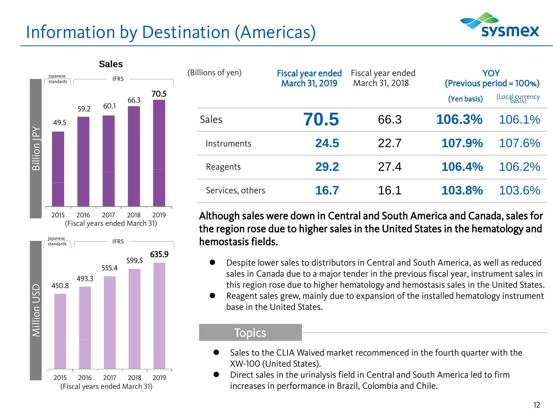### Information by Destination (Americas)





(Fiscal years ended March 31)

| (Billions of yen) |                  | <b>Fiscal year ended</b><br>March 31, 2019 | Fiscal year ended<br>March 31, 2018 | YOY<br>(Previous period = 100%) |                 |  |
|-------------------|------------------|--------------------------------------------|-------------------------------------|---------------------------------|-----------------|--|
|                   |                  |                                            |                                     | (Yen basis)                     | (Local currency |  |
|                   | <b>Sales</b>     | 70.5                                       | 66.3                                | 106.3%                          | 106.1%          |  |
|                   | Instruments      | 24.5                                       | 22.7                                | 107.9%                          | 107.6%          |  |
|                   | Reagents         | 29.2                                       | 27.4                                | 106.4%                          | 106.2%          |  |
|                   | Services, others | 16.7                                       | 16.1                                | 103.8%                          | 103.6%          |  |

#### Although sales were down in Central and South America and Canada, sales for the region rose due to higher sales in the United States in the hematology and hemostasis fields.

- Despite lower sales to distributors in Central and South America, as well as reduced sales in Canada due to a major tender in the previous fiscal year, instrument sales in this region rose due to higher hematology and hemostasis sales in the United States.
- Reagent sales grew, mainly due to expansion of the installed hematology instrument base in the United States.

- Sales to the CLIA Waived market recommenced in the fourth quarter with the XW-100 (United States).
- Direct sales in the urinalysis field in Central and South America led to firm increases in performance in Brazil, Colombia and Chile.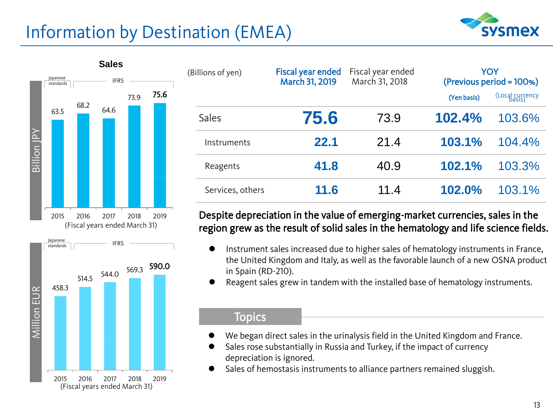### Information by Destination (EMEA)





(Fiscal years ended March 31)

| lions of yen)    | <b>Fiscal year ended</b><br>Fiscal year ended<br>March 31, 2019<br>March 31, 2018 |      | YOY<br>(Previous period = 100%) |                 |  |
|------------------|-----------------------------------------------------------------------------------|------|---------------------------------|-----------------|--|
|                  |                                                                                   |      | (Yen basis)                     | (Local currency |  |
| Sales            | 75.6                                                                              | 73.9 | 102.4%                          | 103.6%          |  |
| Instruments      | 22.1                                                                              | 21.4 | 103.1%                          | 104.4%          |  |
| Reagents         | 41.8                                                                              | 40.9 | 102.1%                          | 103.3%          |  |
| Services, others | 11.6                                                                              | 11.4 | 102.0%                          | 103.1%          |  |

#### 2015 2016 2017 2018 2019 Despite depreciation in the value of emerging-market currencies, sales in the region grew as the result of solid sales in the hematology and life science fields.

- Instrument sales increased due to higher sales of hematology instruments in France, the United Kingdom and Italy, as well as the favorable launch of a new OSNA product in Spain (RD-210).
- Reagent sales grew in tandem with the installed base of hematology instruments.

- We began direct sales in the urinalysis field in the United Kingdom and France.
- Sales rose substantially in Russia and Turkey, if the impact of currency depreciation is ignored.
- Sales of hemostasis instruments to alliance partners remained sluggish.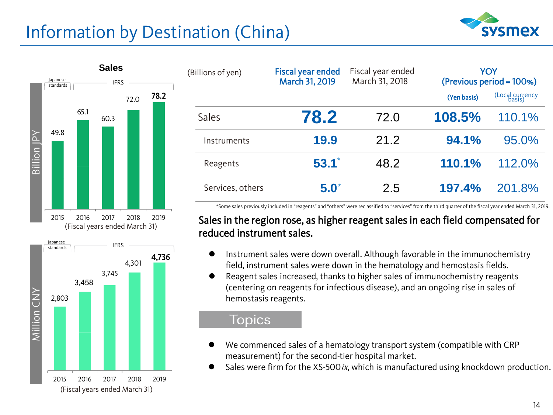### Information by Destination (China)





2015 2016 2017 2018 2019

(Fiscal years ended March 31)

| (Billions of yen) | <b>Fiscal year ended</b><br>March 31, 2019 | Fiscal year ended<br>March 31, 2018 | <b>YOY</b><br>(Previous period = 100%) |                           |  |
|-------------------|--------------------------------------------|-------------------------------------|----------------------------------------|---------------------------|--|
|                   |                                            |                                     | (Yen basis)                            | (Local currency<br>basis) |  |
| <b>Sales</b>      | 78.2                                       | 72.0                                | 108.5%                                 | 110.1%                    |  |
| Instruments       | 19.9                                       | 21.2                                | 94.1%                                  | 95.0%                     |  |
| Reagents          | $53.1^*$                                   | 48.2                                | 110.1%                                 | 112.0%                    |  |
| Services, others  | $5.0^*$                                    | 2.5                                 | 197.4%                                 | 201.8%                    |  |

\*Some sales previously included in "reagents" and "others" were reclassified to "services" from the third quarter of the fiscal year ended March 31, 2019.

#### Sales in the region rose, as higher reagent sales in each field compensated for reduced instrument sales.

- Instrument sales were down overall. Although favorable in the immunochemistry field, instrument sales were down in the hematology and hemostasis fields.
- Reagent sales increased, thanks to higher sales of immunochemistry reagents (centering on reagents for infectious disease), and an ongoing rise in sales of hemostasis reagents.

- We commenced sales of a hematology transport system (compatible with CRP measurement) for the second-tier hospital market.
- Sales were firm for the  $XS-500ix$ , which is manufactured using knockdown production.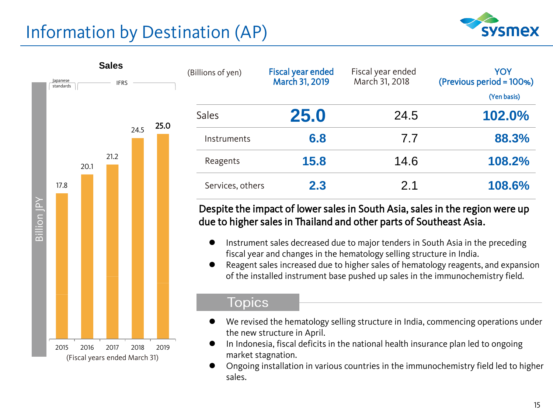### Information by Destination (AP)





| <b>Sales</b>      |             |      |      | (Billions of yen) | <b>Fiscal year ended</b> | Fiscal year ended | YOY                      |
|-------------------|-------------|------|------|-------------------|--------------------------|-------------------|--------------------------|
| panese<br>andards | <b>IFRS</b> |      |      |                   | March 31, 2019           | March 31, 2018    | (Previous period = 100%) |
|                   |             |      |      |                   |                          |                   | (Yen basis)              |
|                   |             |      | 25.0 | <b>Sales</b>      | <b>25.0</b>              | 24.5              | 102.0%                   |
|                   |             | 24.5 |      | Instruments       | 6.8                      | 7.7               | 88.3%                    |
| 20.1              | 21.2        |      |      | Reagents          | 15.8                     | 14.6              | 108.2%                   |
| 17.8              |             |      |      | Services, others  | 2.3                      | 2.1               | 108.6%                   |

Despite the impact of lower sales in South Asia, sales in the region were up due to higher sales in Thailand and other parts of Southeast Asia.

- Instrument sales decreased due to major tenders in South Asia in the preceding fiscal year and changes in the hematology selling structure in India.
- Reagent sales increased due to higher sales of hematology reagents, and expansion of the installed instrument base pushed up sales in the immunochemistry field.

- We revised the hematology selling structure in India, commencing operations under the new structure in April.
- In Indonesia, fiscal deficits in the national health insurance plan led to ongoing market stagnation.
- Ongoing installation in various countries in the immunochemistry field led to higher sales.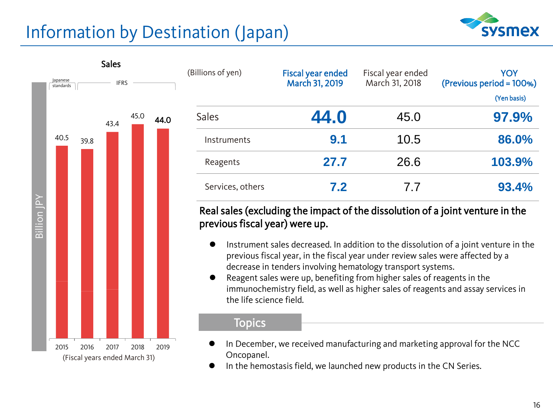### Information by Destination (Japan)





| llions of yen)   | <b>Fiscal year ended</b><br>March 31, 2019 | Fiscal year ended<br>March 31, 2018 | <b>YOY</b><br>(Previous period = 100%) |
|------------------|--------------------------------------------|-------------------------------------|----------------------------------------|
|                  |                                            |                                     | (Yen basis)                            |
| Sales            | 44.0                                       | 45.0                                | 97.9%                                  |
| Instruments      | 9.1                                        | 10.5                                | 86.0%                                  |
| Reagents         | 27.7                                       | 26.6                                | 103.9%                                 |
| Services, others | 7.2                                        | 7.7                                 | 93.4%                                  |

#### Real sales (excluding the impact of the dissolution of a joint venture in the previous fiscal year) were up.

- Instrument sales decreased. In addition to the dissolution of a joint venture in the previous fiscal year, in the fiscal year under review sales were affected by a decrease in tenders involving hematology transport systems.
- Reagent sales were up, benefiting from higher sales of reagents in the immunochemistry field, as well as higher sales of reagents and assay services in the life science field.

- In December, we received manufacturing and marketing approval for the NCC Oncopanel.
- In the hemostasis field, we launched new products in the CN Series.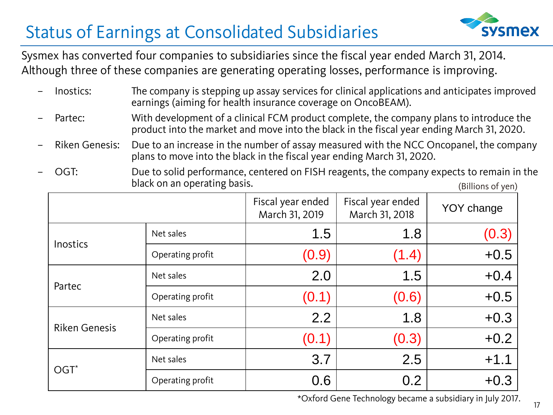### Status of Earnings at Consolidated Subsidiaries



Sysmex has converted four companies to subsidiaries since the fiscal year ended March 31, 2014. Although three of these companies are generating operating losses, performance is improving.

- Inostics: The company is stepping up assay services for clinical applications and anticipates improved earnings (aiming for health insurance coverage on OncoBEAM).
- Partec: With development of a clinical FCM product complete, the company plans to introduce the product into the market and move into the black in the fiscal year ending March 31, 2020.
- Riken Genesis: Due to an increase in the number of assay measured with the NCC Oncopanel, the company plans to move into the black in the fiscal year ending March 31, 2020.
- OGT: Due to solid performance, centered on FISH reagents, the company expects to remain in the black on an operating basis. (Billions of yen)

|                      |                  | Fiscal year ended<br>March 31, 2019 | Fiscal year ended<br>March 31, 2018 | YOY change |
|----------------------|------------------|-------------------------------------|-------------------------------------|------------|
| <b>Inostics</b>      | Net sales        | 1.5                                 | 1.8                                 | (0.3)      |
|                      | Operating profit | (0.9)                               | (1.4)                               | $+0.5$     |
|                      | Net sales        | 2.0                                 | 1.5                                 | $+0.4$     |
| Partec               | Operating profit | (0.1)                               | (0.6)                               | $+0.5$     |
|                      | Net sales        | 2.2                                 | 1.8                                 | $+0.3$     |
| <b>Riken Genesis</b> | Operating profit | (0.1)                               | (0.3)                               | $+0.2$     |
| OGT <sup>*</sup>     | Net sales        | 3.7                                 | 2.5                                 | $+1.1$     |
|                      | Operating profit | 0.6                                 | 0.2                                 | $+0.3$     |

\*Oxford Gene Technology became a subsidiary in July 2017.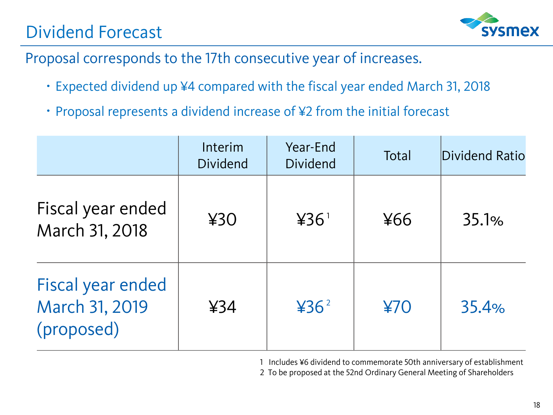### Dividend Forecast



Proposal corresponds to the 17th consecutive year of increases.

- Expected dividend up ¥4 compared with the fiscal year ended March 31, 2018
- Proposal represents a dividend increase of ¥2 from the initial forecast

|                                                          | Interim<br><b>Dividend</b> | Year-End<br><b>Dividend</b> | Total | Dividend Ratio |
|----------------------------------------------------------|----------------------------|-----------------------------|-------|----------------|
| Fiscal year ended<br>March 31, 2018                      | 430                        | 436 <sup>1</sup>            | 466   | 35.1%          |
| <b>Fiscal year ended</b><br>March 31, 2019<br>(proposed) | 434                        | 436 <sup>2</sup>            | 470   | 35.4%          |

1 Includes ¥6 dividend to commemorate 50th anniversary of establishment 2 To be proposed at the 52nd Ordinary General Meeting of Shareholders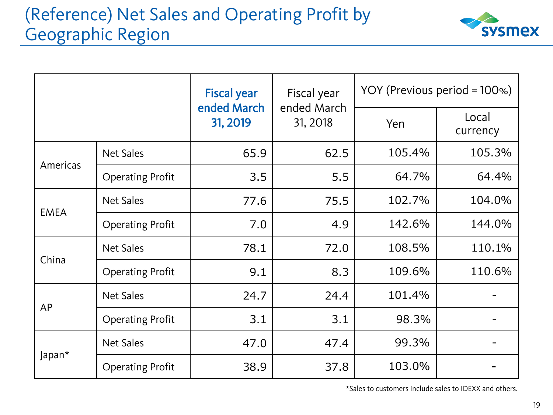### (Reference) Net Sales and Operating Profit by Geographic Region



|                  |                         | <b>Fiscal year</b>      | Fiscal year             | YOY (Previous period = 100%) |                   |  |
|------------------|-------------------------|-------------------------|-------------------------|------------------------------|-------------------|--|
|                  |                         | ended March<br>31, 2019 | ended March<br>31, 2018 | Yen                          | Local<br>currency |  |
| <b>Net Sales</b> |                         | 65.9                    | 62.5                    | 105.4%                       | 105.3%            |  |
| Americas         | <b>Operating Profit</b> | 3.5                     | 5.5                     | 64.7%                        | 64.4%             |  |
| <b>EMEA</b>      | <b>Net Sales</b>        | 77.6                    | 75.5                    | 102.7%                       | 104.0%            |  |
|                  | <b>Operating Profit</b> | 7.0                     | 4.9                     | 142.6%                       | 144.0%            |  |
|                  | <b>Net Sales</b>        | 78.1                    | 72.0                    | 108.5%                       | 110.1%            |  |
| China            | <b>Operating Profit</b> | 9.1                     | 8.3                     | 109.6%                       | 110.6%            |  |
| AP               | <b>Net Sales</b>        | 24.7                    | 24.4                    | 101.4%                       |                   |  |
|                  | <b>Operating Profit</b> | 3.1                     | 3.1                     | 98.3%                        |                   |  |
|                  | <b>Net Sales</b>        | 47.0                    | 47.4                    | 99.3%                        |                   |  |
| Japan*           | <b>Operating Profit</b> | 38.9                    | 37.8                    | 103.0%                       |                   |  |

\*Sales to customers include sales to IDEXX and others.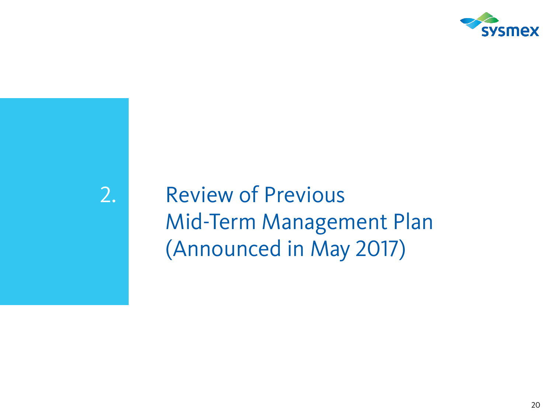

2. Review of Previous Mid-Term Management Plan (Announced in May 2017)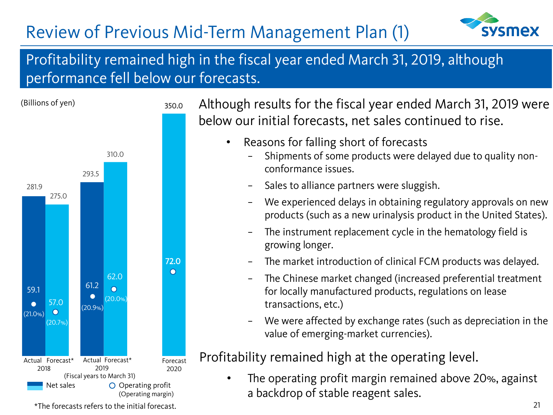### Review of Previous Mid-Term Management Plan (1)



### Profitability remained high in the fiscal year ended March 31, 2019, although performance fell below our forecasts.



(Billions of yen)

350.0 Although results for the fiscal year ended March 31, 2019 were below our initial forecasts, net sales continued to rise.

- Reasons for falling short of forecasts
	- − Shipments of some products were delayed due to quality nonconformance issues.
	- − Sales to alliance partners were sluggish.
	- − We experienced delays in obtaining regulatory approvals on new products (such as a new urinalysis product in the United States).
	- The instrument replacement cycle in the hematology field is growing longer.
	- − The market introduction of clinical FCM products was delayed.
	- − The Chinese market changed (increased preferential treatment for locally manufactured products, regulations on lease transactions, etc.)
	- We were affected by exchange rates (such as depreciation in the value of emerging-market currencies).

Profitability remained high at the operating level.

• The operating profit margin remained above 20%, against a backdrop of stable reagent sales.

<sup>\*</sup>The forecasts refers to the initial forecast.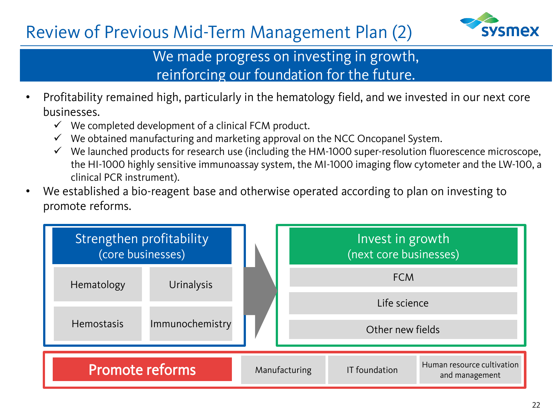### Review of Previous Mid-Term Management Plan (2)



### We made progress on investing in growth, reinforcing our foundation for the future.

- Profitability remained high, particularly in the hematology field, and we invested in our next core businesses.
	- $\checkmark$  We completed development of a clinical FCM product.
	- $\checkmark$  We obtained manufacturing and marketing approval on the NCC Oncopanel System.
	- $\checkmark$  We launched products for research use (including the HM-1000 super-resolution fluorescence microscope, the HI-1000 highly sensitive immunoassay system, the MI-1000 imaging flow cytometer and the LW-100, a clinical PCR instrument).
- We established a bio-reagent base and otherwise operated according to plan on investing to promote reforms.

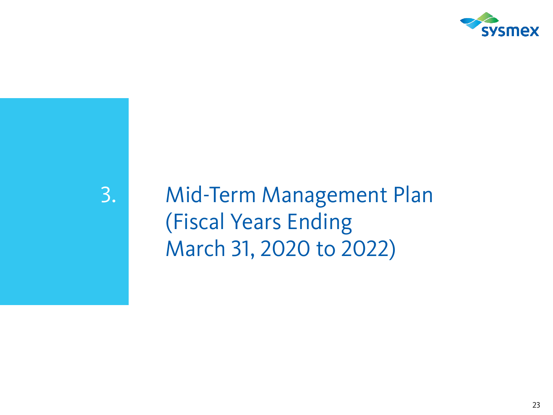

3. Mid-Term Management Plan (Fiscal Years Ending March 31, 2020 to 2022)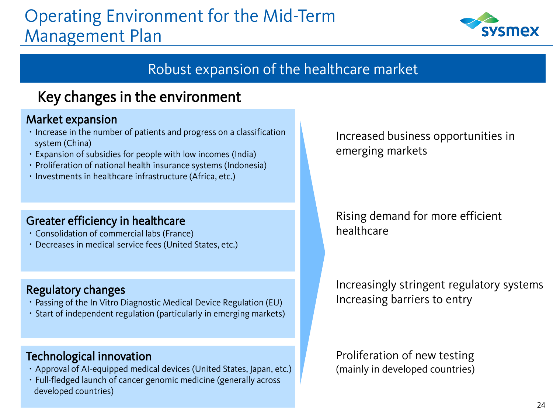### Operating Environment for the Mid-Term Management Plan



#### Robust expansion of the healthcare market

### Key changes in the environment

#### Market expansion

- $\cdot$  Increase in the number of patients and progress on a classification system (China)
- Expansion of subsidies for people with low incomes (India)
- Proliferation of national health insurance systems (Indonesia)
- $\cdot$  Investments in healthcare infrastructure (Africa, etc.)

#### Greater efficiency in healthcare

- Consolidation of commercial labs (France)
- Decreases in medical service fees (United States, etc.)

#### Regulatory changes

- Passing of the In Vitro Diagnostic Medical Device Regulation (EU)
- Start of independent regulation (particularly in emerging markets)

#### Technological innovation

- Approval of AI-equipped medical devices (United States, Japan, etc.)
- Full-fledged launch of cancer genomic medicine (generally across developed countries)

Increased business opportunities in emerging markets

#### Rising demand for more efficient healthcare

#### Increasingly stringent regulatory systems Increasing barriers to entry

Proliferation of new testing (mainly in developed countries)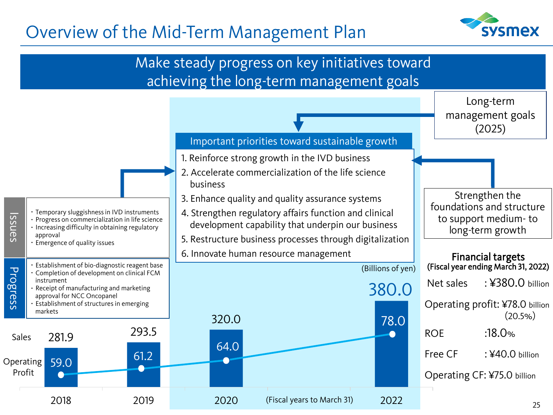### Overview of the Mid-Term Management Plan



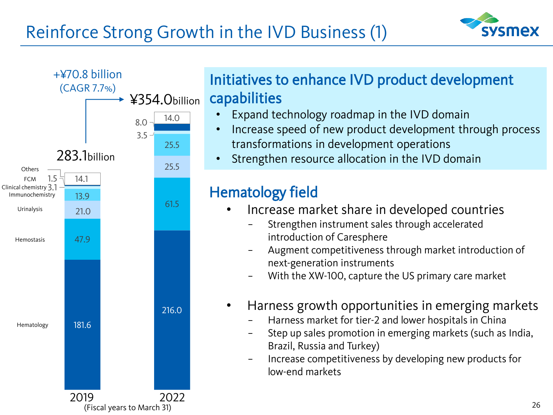



#### Initiatives to enhance IVD product development capabilities

- Expand technology roadmap in the IVD domain
- Increase speed of new product development through process transformations in development operations
- Strengthen resource allocation in the IVD domain

### Hematology field

- Increase market share in developed countries
	- Strengthen instrument sales through accelerated introduction of Caresphere
	- − Augment competitiveness through market introduction of next-generation instruments
	- With the XW-100, capture the US primary care market

### • Harness growth opportunities in emerging markets

- − Harness market for tier-2 and lower hospitals in China
- Step up sales promotion in emerging markets (such as India, Brazil, Russia and Turkey)
- Increase competitiveness by developing new products for low-end markets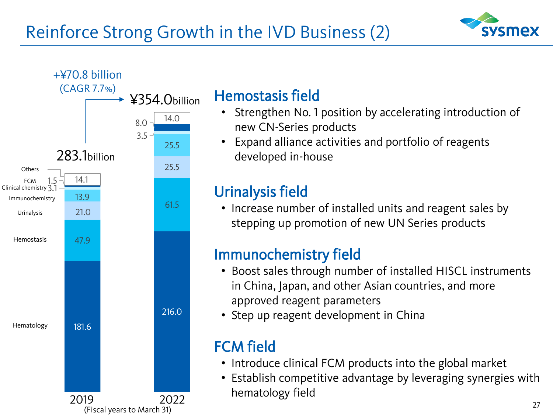



### Hemostasis field

- Strengthen No. 1 position by accelerating introduction of new CN-Series products
- Expand alliance activities and portfolio of reagents developed in-house

### Urinalysis field

• Increase number of installed units and reagent sales by stepping up promotion of new UN Series products

### Immunochemistry field

- Boost sales through number of installed HISCL instruments in China, Japan, and other Asian countries, and more approved reagent parameters
- Step up reagent development in China

### FCM field

- Introduce clinical FCM products into the global market
- Establish competitive advantage by leveraging synergies with hematology field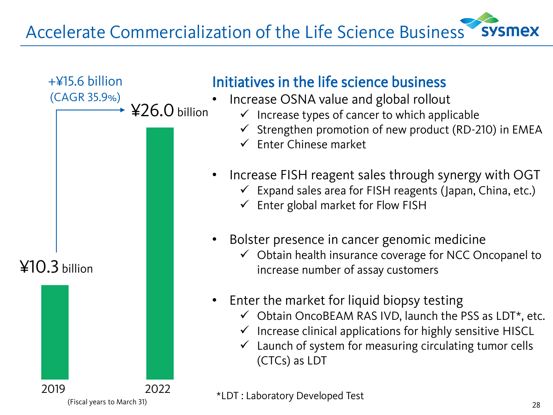#### Accelerate Commercialization of the Life Science Business **sysmex**



+¥15.6 billion

### Initiatives in the life science business

- Increase OSNA value and global rollout
	- $\checkmark$  Increase types of cancer to which applicable
	- $\checkmark$  Strengthen promotion of new product (RD-210) in EMEA
	- $\checkmark$  Fnter Chinese market
- Increase FISH reagent sales through synergy with OGT
	- $\checkmark$  Expand sales area for FISH reagents (Japan, China, etc.)
	- $\checkmark$  Enter global market for Flow FISH
- Bolster presence in cancer genomic medicine
	- $\checkmark$  Obtain health insurance coverage for NCC Oncopanel to increase number of assay customers
- Enter the market for liquid biopsy testing
	- $\checkmark$  Obtain OncoBEAM RAS IVD, launch the PSS as LDT\*, etc.
	- $\checkmark$  Increase clinical applications for highly sensitive HISCL
	- $\checkmark$  Launch of system for measuring circulating tumor cells (CTCs) as LDT

(Fiscal years to March 31) \*LDT : Laboratory Developed Test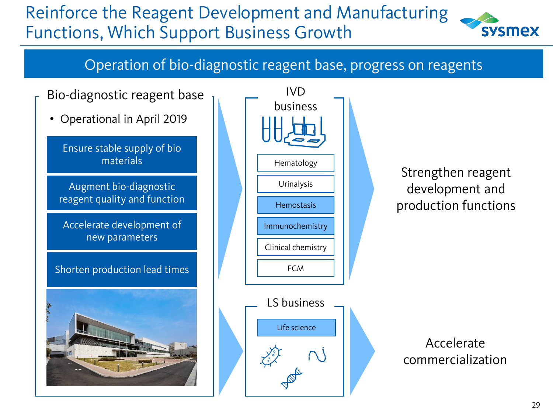Reinforce the Reagent Development and Manufacturing Functions, Which Support Business Growth



#### Operation of bio-diagnostic reagent base, progress on reagents



Strengthen reagent development and production functions

Accelerate commercialization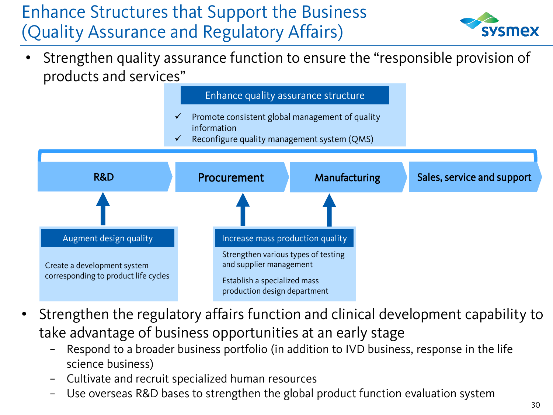### Enhance Structures that Support the Business (Quality Assurance and Regulatory Affairs)



• Strengthen quality assurance function to ensure the "responsible provision of products and services"



- Strengthen the regulatory affairs function and clinical development capability to take advantage of business opportunities at an early stage
	- Respond to a broader business portfolio (in addition to IVD business, response in the life science business)
	- − Cultivate and recruit specialized human resources
	- Use overseas R&D bases to strengthen the global product function evaluation system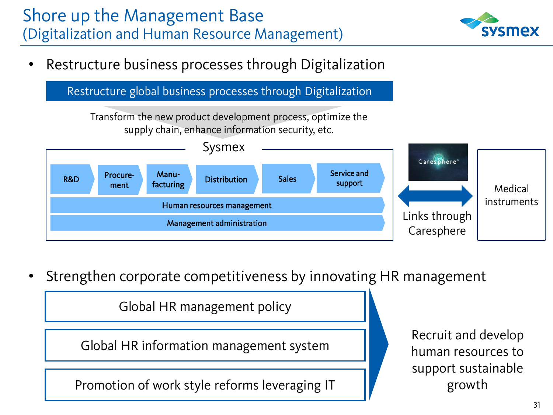

• Restructure business processes through Digitalization

#### Restructure global business processes through Digitalization

Transform the new product development process, optimize the supply chain, enhance information security, etc.



Strengthen corporate competitiveness by innovating HR management

Global HR management policy

Global HR information management system

Promotion of work style reforms leveraging IT

Recruit and develop human resources to support sustainable growth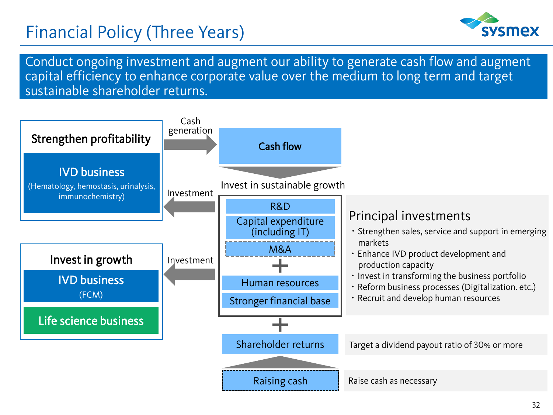### Financial Policy (Three Years)



Conduct ongoing investment and augment our ability to generate cash flow and augment capital efficiency to enhance corporate value over the medium to long term and target sustainable shareholder returns.

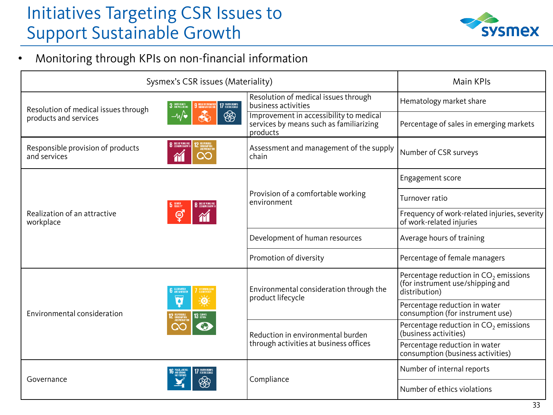### Initiatives Targeting CSR Issues to Support Sustainable Growth



#### • Monitoring through KPIs on non-financial information

| Sysmex's CSR issues (Materiality)                 | <b>Main KPIs</b>                   |                                                                                                |                                                                                              |
|---------------------------------------------------|------------------------------------|------------------------------------------------------------------------------------------------|----------------------------------------------------------------------------------------------|
| Resolution of medical issues through              | 17 FARTNERSHIPS<br>3 GOGO HEALTH   | Resolution of medical issues through<br>business activities                                    | Hematology market share                                                                      |
| products and services                             | ❀                                  | Improvement in accessibility to medical<br>services by means such as familiarizing<br>products | Percentage of sales in emerging markets                                                      |
| Responsible provision of products<br>and services |                                    | Assessment and management of the supply<br>chain                                               | Number of CSR surveys                                                                        |
|                                                   |                                    |                                                                                                | Engagement score                                                                             |
|                                                   | ⊜                                  | Provision of a comfortable working<br>environment                                              | Turnover ratio                                                                               |
| Realization of an attractive<br>workplace         |                                    |                                                                                                | Frequency of work-related injuries, severity<br>of work-related injuries                     |
|                                                   |                                    | Development of human resources                                                                 | Average hours of training                                                                    |
|                                                   |                                    | Promotion of diversity                                                                         | Percentage of female managers                                                                |
|                                                   | 美<br>Ø                             | Environmental consideration through the<br>product lifecycle                                   | Percentage reduction in $CO2$ emissions<br>(for instrument use/shipping and<br>distribution) |
| Environmental consideration                       |                                    |                                                                                                | Percentage reduction in water<br>consumption (for instrument use)                            |
|                                                   |                                    | Reduction in environmental burden                                                              | Percentage reduction in $CO2$ emissions<br>(business activities)                             |
|                                                   |                                    | through activities at business offices                                                         | Percentage reduction in water<br>consumption (business activities)                           |
| Governance                                        | <b>FARTNERSHIP</b><br>For the Goal | Compliance                                                                                     | Number of internal reports                                                                   |
|                                                   |                                    |                                                                                                | Number of ethics violations                                                                  |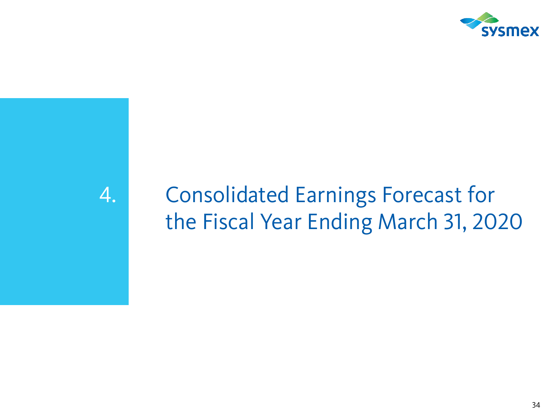

## 4. Consolidated Earnings Forecast for the Fiscal Year Ending March 31, 2020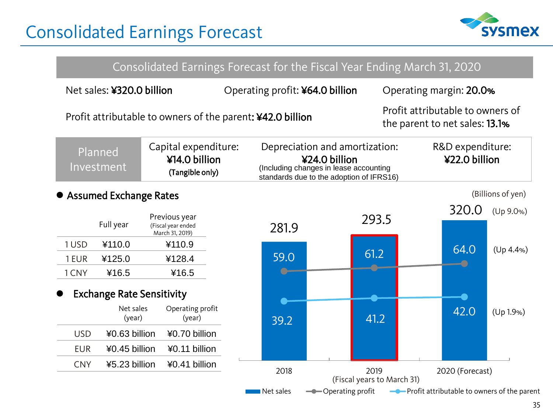### Consolidated Earnings Forecast



| Net sales: ¥320.0 billion                                                         |                                  |                                     | Operating profit: ¥64.0 billion                                                                                                       |       | Operating margin: 20.0%                                            |  |
|-----------------------------------------------------------------------------------|----------------------------------|-------------------------------------|---------------------------------------------------------------------------------------------------------------------------------------|-------|--------------------------------------------------------------------|--|
|                                                                                   |                                  |                                     | Profit attributable to owners of the parent: ¥42.0 billion                                                                            |       | Profit attributable to owners of<br>the parent to net sales: 13.1% |  |
| Capital expenditure:<br>Planned<br>¥14.0 billion<br>Investment<br>(Tangible only) |                                  |                                     | Depreciation and amortization:<br>¥24.0 billion<br>(Including changes in lease accounting<br>standards due to the adoption of IFRS16) |       | R&D expenditure:<br>¥22.0 billion                                  |  |
|                                                                                   | • Assumed Exchange Rates         |                                     |                                                                                                                                       |       | (Billions of yen)                                                  |  |
|                                                                                   | Full year                        | Previous year<br>(Fiscal year ended |                                                                                                                                       | 293.5 | 320.0<br>(Up 9.0%)                                                 |  |
|                                                                                   |                                  |                                     | 281.9                                                                                                                                 |       |                                                                    |  |
| 1USD                                                                              | ¥110.0                           | March 31, 2019)<br>¥110.9           |                                                                                                                                       |       |                                                                    |  |
| 1 EUR                                                                             | ¥125.0                           | ¥128.4                              | 59.0                                                                                                                                  | 61.2  | 64.0<br>(Up 4.4%                                                   |  |
| 1 CNY                                                                             | ¥16.5                            | ¥16.5                               |                                                                                                                                       |       |                                                                    |  |
|                                                                                   | <b>Exchange Rate Sensitivity</b> |                                     |                                                                                                                                       |       |                                                                    |  |
|                                                                                   | Net sales<br>(year)              | Operating profit<br>(year)          |                                                                                                                                       | 41.2  | 42.0<br>(Up 1.9%)                                                  |  |
| <b>USD</b>                                                                        | ¥0.63 billion                    | ¥0.70 billion                       | 39.2                                                                                                                                  |       |                                                                    |  |
| <b>EUR</b>                                                                        | ¥0.45 billion                    | ¥0.11 billion                       |                                                                                                                                       |       |                                                                    |  |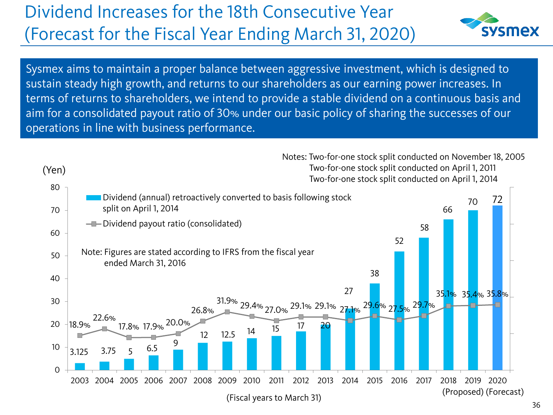### Dividend Increases for the 18th Consecutive Year (Forecast for the Fiscal Year Ending March 31, 2020)



Sysmex aims to maintain a proper balance between aggressive investment, which is designed to sustain steady high growth, and returns to our shareholders as our earning power increases. In terms of returns to shareholders, we intend to provide a stable dividend on a continuous basis and aim for a consolidated payout ratio of 30% under our basic policy of sharing the successes of our operations in line with business performance.

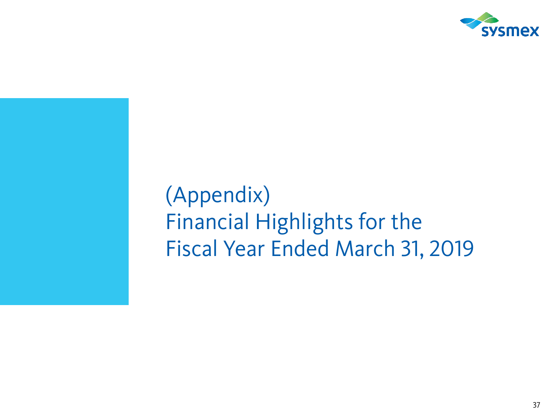

## (Appendix) Financial Highlights for the Fiscal Year Ended March 31, 2019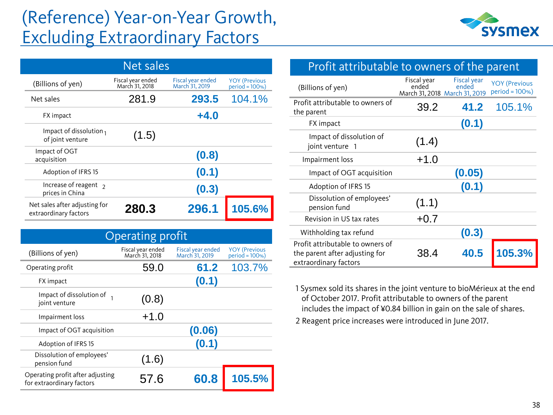### (Reference) Year-on-Year Growth, Excluding Extraordinary Factors



| <b>Net sales</b>                                       |                                     |                                     |                                         |  |  |  |  |
|--------------------------------------------------------|-------------------------------------|-------------------------------------|-----------------------------------------|--|--|--|--|
| (Billions of yen)                                      | Fiscal year ended<br>March 31, 2018 | Fiscal year ended<br>March 31, 2019 | <b>YOY (Previous</b><br>$period = 100%$ |  |  |  |  |
| Net sales                                              | 281.9                               | 293.5                               | 104.1%                                  |  |  |  |  |
| FX impact                                              |                                     | $+4.0$                              |                                         |  |  |  |  |
| Impact of dissolution $_1$<br>of joint venture         | (1.5)                               |                                     |                                         |  |  |  |  |
| Impact of OGT<br>acquisition                           |                                     | (0.8)                               |                                         |  |  |  |  |
| Adoption of IFRS 15                                    |                                     | (0.1)                               |                                         |  |  |  |  |
| Increase of reagent $\sigma$<br>prices in China        |                                     | (0.3)                               |                                         |  |  |  |  |
| Net sales after adjusting for<br>extraordinary factors | 280.3                               | 296.1                               | 105.6%                                  |  |  |  |  |

| <b>Operating profit</b>                                       |                                     |                                     |                                           |  |  |  |
|---------------------------------------------------------------|-------------------------------------|-------------------------------------|-------------------------------------------|--|--|--|
| (Billions of yen)                                             | Fiscal year ended<br>March 31, 2018 | Fiscal year ended<br>March 31, 2019 | <b>YOY (Previous</b><br>$period = 100\%)$ |  |  |  |
| Operating profit                                              | 59.0                                | 61.2                                | 103.7%                                    |  |  |  |
| FX impact                                                     |                                     | (0.1)                               |                                           |  |  |  |
| Impact of dissolution of<br>joint venture                     | (0.8)                               |                                     |                                           |  |  |  |
| Impairment loss                                               | $+1.0$                              |                                     |                                           |  |  |  |
| Impact of OGT acquisition                                     |                                     | (0.06)                              |                                           |  |  |  |
| Adoption of IFRS 15                                           |                                     | (0.1)                               |                                           |  |  |  |
| Dissolution of employees'<br>pension fund                     | (1.6)                               |                                     |                                           |  |  |  |
| Operating profit after adjusting<br>for extraordinary factors | 57.6                                | 60.8                                | 105.5%                                    |  |  |  |

| Profit attributable to owners of the parent                                                 |                      |                                                       |                                         |
|---------------------------------------------------------------------------------------------|----------------------|-------------------------------------------------------|-----------------------------------------|
| (Billions of yen)                                                                           | Fiscal year<br>ended | Fiscal year<br>ended<br>March 31, 2018 March 31, 2019 | <b>YOY (Previous</b><br>$period = 100%$ |
| Profit attributable to owners of<br>the parent                                              | 39.2                 | 41.2                                                  | 105.1%                                  |
| FX impact                                                                                   |                      | (0.1)                                                 |                                         |
| Impact of dissolution of<br>joint venture                                                   | (1.4)                |                                                       |                                         |
| Impairment loss                                                                             | $+1.0$               |                                                       |                                         |
| Impact of OGT acquisition                                                                   |                      | (0.05)                                                |                                         |
| Adoption of IFRS 15                                                                         |                      | (0.1)                                                 |                                         |
| Dissolution of employees'<br>pension fund                                                   | (1.1)                |                                                       |                                         |
| Revision in US tax rates                                                                    | $+0.7$               |                                                       |                                         |
| Withholding tax refund                                                                      |                      | (0.3)                                                 |                                         |
| Profit attributable to owners of<br>the parent after adjusting for<br>extraordinary factors | 38.4                 | 40.5                                                  | 105.3%                                  |

1 Sysmex sold its shares in the joint venture to bioMérieux at the end of October 2017. Profit attributable to owners of the parent includes the impact of ¥0.84 billion in gain on the sale of shares. 2 Reagent price increases were introduced in June 2017.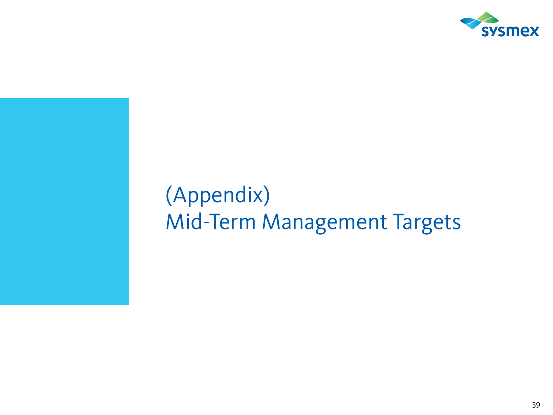

## (Appendix) Mid-Term Management Targets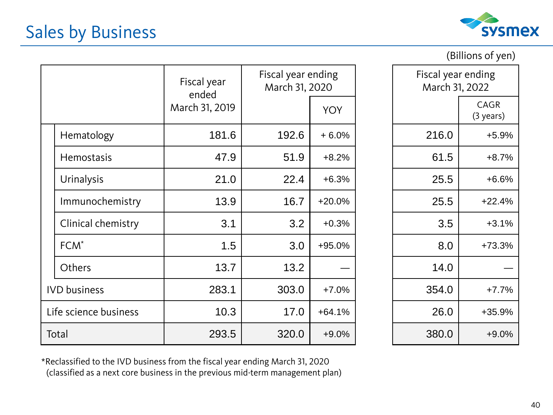

|  |                       | Fiscal year<br>ended | Fiscal year ending<br>March 31, 2020 |            | Fiscal year ending<br>March 31, 2022 |                             |
|--|-----------------------|----------------------|--------------------------------------|------------|--------------------------------------|-----------------------------|
|  |                       | March 31, 2019       |                                      | <b>YOY</b> |                                      | CAGR<br>$(3 \text{ years})$ |
|  | Hematology            | 181.6                | 192.6                                | $+6.0%$    | 216.0                                | $+5.9%$                     |
|  | <b>Hemostasis</b>     | 47.9                 | 51.9                                 | $+8.2%$    | 61.5                                 | $+8.7%$                     |
|  | Urinalysis            | 21.0                 | 22.4                                 | $+6.3%$    | 25.5                                 | $+6.6%$                     |
|  | Immunochemistry       | 13.9                 | 16.7                                 | $+20.0%$   | 25.5                                 | $+22.4%$                    |
|  | Clinical chemistry    | 3.1                  | 3.2                                  | $+0.3%$    | 3.5                                  | $+3.1%$                     |
|  | FCM <sup>*</sup>      | 1.5                  | 3.0                                  | +95.0%     | 8.0                                  | +73.3%                      |
|  | Others                | 13.7                 | 13.2                                 |            | 14.0                                 |                             |
|  | <b>IVD</b> business   | 283.1                | 303.0                                | $+7.0%$    | 354.0                                | $+7.7%$                     |
|  | Life science business | 10.3                 | 17.0                                 | $+64.1%$   | 26.0                                 | +35.9%                      |
|  | Total                 | 293.5                | 320.0                                | $+9.0%$    | 380.0                                | $+9.0%$                     |

| ling<br>20 | Fiscal year ending<br>March 31, 2022 |                   |  |  |  |
|------------|--------------------------------------|-------------------|--|--|--|
| YOY        |                                      | CAGR<br>(3 years) |  |  |  |
| + 6.0%     | 216.0                                | $+5.9%$           |  |  |  |
| $+8.2%$    | 61.5                                 | $+8.7%$           |  |  |  |
| $+6.3%$    | 25.5                                 | $+6.6%$           |  |  |  |
| $20.0\%$   | 25.5                                 | $+22.4%$          |  |  |  |
| $+0.3%$    | 3.5                                  | $+3.1%$           |  |  |  |
| $95.0\%$   | 8.0                                  | +73.3%            |  |  |  |
|            | 14.0                                 |                   |  |  |  |
| $+7.0%$    | 354.0                                | $+7.7%$           |  |  |  |
| 64.1%      | 26.0                                 | +35.9%            |  |  |  |
| $+9.0%$    | 380.0                                | $+9.0%$           |  |  |  |

\*Reclassified to the IVD business from the fiscal year ending March 31, 2020 (classified as a next core business in the previous mid-term management plan)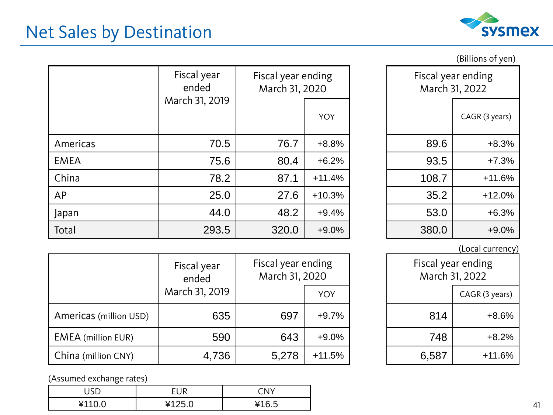

|             | Fiscal year<br>ended | Fiscal year ending<br>March 31, 2020 |            | Fiscal year ending<br>March 31, 2022 |                |
|-------------|----------------------|--------------------------------------|------------|--------------------------------------|----------------|
|             | March 31, 2019       |                                      | <b>YOY</b> |                                      | CAGR (3 years) |
| Americas    | 70.5                 | 76.7                                 | $+8.8%$    | 89.6                                 | $+8.3%$        |
| <b>EMEA</b> | 75.6                 | 80.4                                 | $+6.2%$    | 93.5                                 | $+7.3%$        |
| China       | 78.2                 | 87.1                                 | $+11.4%$   | 108.7                                | $+11.6%$       |
| AP          | 25.0                 | 27.6                                 | $+10.3%$   | 35.2                                 | $+12.0%$       |
| Japan       | 44.0                 | 48.2                                 | $+9.4%$    | 53.0                                 | $+6.3%$        |
| Total       | 293.5                | 320.0                                | $+9.0%$    | 380.0                                | $+9.0%$        |

| ing<br>0! | Fiscal year ending<br>March 31, 2022 |                |  |  |
|-----------|--------------------------------------|----------------|--|--|
| YOY       |                                      | CAGR (3 years) |  |  |
| +8.8%     | 89.6                                 | $+8.3%$        |  |  |
| +6.2%     | 93.5                                 | $+7.3%$        |  |  |
| 11.4%     | 108.7                                | $+11.6%$       |  |  |
| 10.3%     | 35.2                                 | $+12.0%$       |  |  |
| $+9.4%$   | 53.0                                 | $+6.3%$        |  |  |
| +9.0%     | 380.0                                | $+9.0%$        |  |  |

#### (Local currency)

| ing<br>20 | Fiscal year ending<br>March 31, 2022 |                |  |  |  |
|-----------|--------------------------------------|----------------|--|--|--|
| YOY       |                                      | CAGR (3 years) |  |  |  |
| +9.7%     | 814                                  | $+8.6%$        |  |  |  |
| $+9.0\%$  | 748                                  | $+8.2%$        |  |  |  |
| 11.5%     | 6,587                                | $+11.6%$       |  |  |  |

|                           | Fiscal year<br>ended | Fiscal year ending<br>March 31, 2020 |            | Fiscal year ending<br>March 31, 2022 |                |
|---------------------------|----------------------|--------------------------------------|------------|--------------------------------------|----------------|
|                           | March 31, 2019       |                                      | <b>YOY</b> |                                      | CAGR (3 years) |
| Americas (million USD)    | 635                  | 697                                  | $+9.7%$    | 814                                  | $+8.6%$        |
| <b>EMEA</b> (million EUR) | 590                  | 643                                  | $+9.0%$    | 748                                  | $+8.2%$        |
| China (million CNY)       | 4,736                | 5,278                                | $+11.5%$   | 6,587                                | $+11.6%$       |

#### (Assumed exchange rates)

г

| ີ                    |                |            |
|----------------------|----------------|------------|
| $\sim$ $\sim$<br>マンレ | <b>EUR</b>     | <b>NIV</b> |
| 41100                | ¥125.0<br>∠ບ.ບ | ¥16.5      |

Т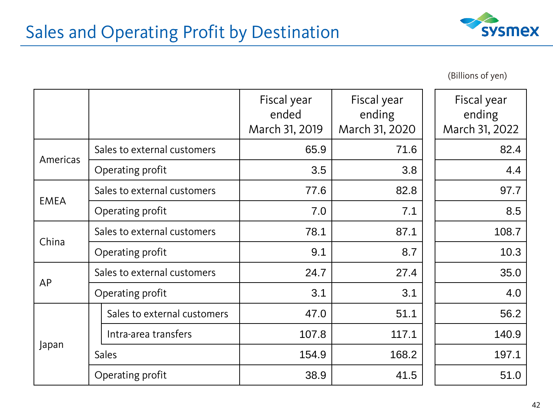

|             |                             | Fiscal year<br>ended<br>March 31, 2019 | Fiscal year<br>ending<br>March 31, 2020 | Fiscal year<br>ending<br>March 31, 2022 |
|-------------|-----------------------------|----------------------------------------|-----------------------------------------|-----------------------------------------|
| Americas    | Sales to external customers | 65.9                                   | 71.6                                    | 82.4                                    |
|             | Operating profit            | 3.5                                    | 3.8                                     | 4.4                                     |
| <b>EMEA</b> | Sales to external customers | 77.6                                   | 82.8                                    | 97.7                                    |
|             | Operating profit            | 7.0                                    | 7.1                                     | 8.5                                     |
| China       | Sales to external customers | 78.1                                   | 87.1                                    | 108.7                                   |
|             | Operating profit            | 9.1                                    | 8.7                                     | 10.3                                    |
| AP          | Sales to external customers | 24.7                                   | 27.4                                    | 35.0                                    |
|             | Operating profit            | 3.1                                    | 3.1                                     | 4.0                                     |
| Japan       | Sales to external customers | 47.0                                   | 51.1                                    | 56.2                                    |
|             | Intra-area transfers        | 107.8                                  | 117.1                                   | 140.9                                   |
|             | <b>Sales</b>                | 154.9                                  | 168.2                                   | 197.1                                   |
|             | Operating profit            | 38.9                                   | 41.5                                    | 51.0                                    |